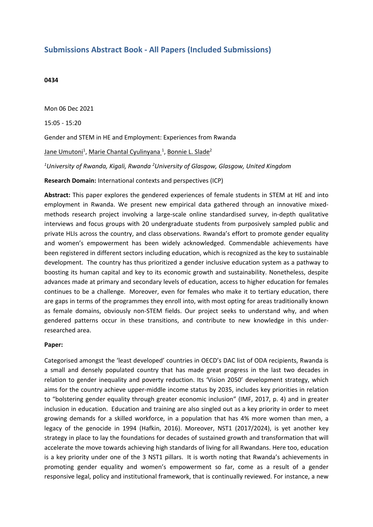## **Submissions Abstract Book - All Papers (Included Submissions)**

## **0434**

Mon 06 Dec 2021

15:05 - 15:20

Gender and STEM in HE and Employment: Experiences from Rwanda

Jane Umutoni<sup>1</sup>, Marie Chantal Cyulinyana <sup>1</sup>, Bonnie L. Slade<sup>2</sup>

*1 University of Rwanda, Kigali, Rwanda <sup>2</sup> University of Glasgow, Glasgow, United Kingdom*

**Research Domain:** International contexts and perspectives (ICP)

**Abstract:** This paper explores the gendered experiences of female students in STEM at HE and into employment in Rwanda. We present new empirical data gathered through an innovative mixedmethods research project involving <sup>a</sup> large-scale online standardised survey, in-depth qualitative interviews and focus groups with 20 undergraduate students from purposively sampled public and private HLIs across the country, and class observations. Rwanda's effort to promote gender equality and women's empowerment has been widely acknowledged. Commendable achievements have been registered in different sectors including education, which is recognized as the key to sustainable development. The country has thus prioritized <sup>a</sup> gender inclusive education system as <sup>a</sup> pathway to boosting its human capital and key to its economic growth and sustainability. Nonetheless, despite advances made at primary and secondary levels of education, access to higher education for females continues to be <sup>a</sup> challenge. Moreover, even for females who make it to tertiary education, there are gaps in terms of the programmes they enroll into, with most opting for areas traditionally known as female domains, obviously non-STEM fields. Our project seeks to understand why, and when gendered patterns occur in these transitions, and contribute to new knowledge in this underresearched area.

## **Paper:**

Categorised amongst the 'least developed' countries in OECD's DAC list of ODA recipients, Rwanda is <sup>a</sup> small and densely populated country that has made great progress in the last two decades in relation to gender inequality and poverty reduction. Its 'Vision 2050' development strategy, which aims for the country achieve upper-middle income status by 2035, includes key priorities in relation to "bolstering gender equality through greater economic inclusion" (IMF, 2017, p. 4) and in greater inclusion in education. Education and training are also singled out as <sup>a</sup> key priority in order to meet growing demands for <sup>a</sup> skilled workforce, in <sup>a</sup> population that has 4% more women than men, <sup>a</sup> legacy of the genocide in 1994 (Hafkin, 2016). Moreover, NST1 (2017/2024), is yet another key strategy in place to lay the foundations for decades of sustained growth and transformation that will accelerate the move towards achieving high standards of living for all Rwandans. Here too, education is <sup>a</sup> key priority under one of the 3 NST1 pillars. It is worth noting that Rwanda's achievements in promoting gender equality and women's empowerment so far, come as <sup>a</sup> result of <sup>a</sup> gender responsive legal, policy and institutional framework, that is continually reviewed. For instance, <sup>a</sup> new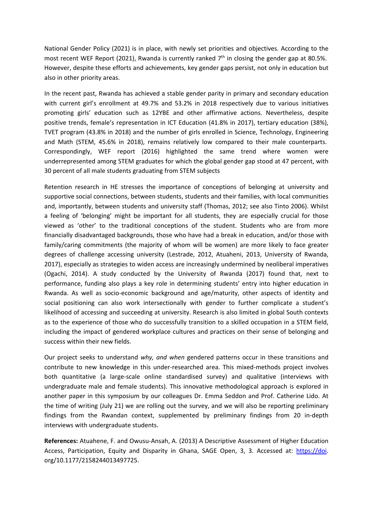National Gender Policy (2021) is in place, with newly set priorities and objectives. According to the most recent WEF Report (2021), Rwanda is currently ranked  $7<sup>th</sup>$  in closing the gender gap at 80.5%. However, despite these efforts and achievements, key gender gaps persist, not only in education but also in other priority areas.

In the recent past, Rwanda has achieved <sup>a</sup> stable gender parity in primary and secondary education with current girl's enrollment at 49.7% and 53.2% in 2018 respectively due to various initiatives promoting girls' education such as 12YBE and other affirmative actions. Nevertheless, despite positive trends, female's representation in ICT Education (41.8% in 2017), tertiary education (38%), TVET program (43.8% in 2018) and the number of girls enrolled in Science, Technology, Engineering and Math (STEM, 45.6% in 2018), remains relatively low compared to their male counterparts. Correspondingly, WEF report (2016) highlighted the same trend where women were underrepresented among STEM graduates for which the global gender gap stood at 47 percent, with 30 percent of all male students graduating from STEM subjects

Retention research in HE stresses the importance of conceptions of belonging at university and supportive social connections, between students, students and their families, with local communities and, importantly, between students and university staff (Thomas, 2012; see also Tinto 2006). Whilst <sup>a</sup> feeling of 'belonging' might be important for all students, they are especially crucial for those viewed as 'other' to the traditional conceptions of the student. Students who are from more financially disadvantaged backgrounds, those who have had <sup>a</sup> break in education, and/or those with family/caring commitments (the majority of whom will be women) are more likely to face greater degrees of challenge accessing university (Lestrade, 2012, Atuaheni, 2013, University of Rwanda, 2017), especially as strategies to widen access are increasingly undermined by neoliberal imperatives (Ogachi, 2014). A study conducted by the University of Rwanda (2017) found that, next to performance, funding also plays <sup>a</sup> key role in determining students' entry into higher education in Rwanda. As well as socio-economic background and age/maturity, other aspects of identity and social positioning can also work intersectionally with gender to further complicate <sup>a</sup> student's likelihood of accessing and succeeding at university. Research is also limited in global South contexts as to the experience of those who do successfully transition to <sup>a</sup> skilled occupation in <sup>a</sup> STEM field, including the impact of gendered workplace cultures and practices on their sense of belonging and success within their new fields.

Our project seeks to understand *why, and when* gendered patterns occur in these transitions and contribute to new knowledge in this under-researched area. This mixed-methods project involves both quantitative (a large-scale online standardised survey) and qualitative (interviews with undergraduate male and female students). This innovative methodological approach is explored in another paper in this symposium by our colleagues Dr. Emma Seddon and Prof. Catherine Lido. At the time of writing (July 21) we are rolling out the survey, and we will also be reporting preliminary findings from the Rwandan context, supplemented by preliminary findings from 20 in-depth interviews with undergraduate students.

**References:** Atuahene, F. and Owusu-Ansah, A. (2013) A Descriptive Assessment of Higher Education Access, Participation, Equity and Disparity in Ghana, SAGE Open, 3, 3. Accessed at: <https://doi>. org/10.1177/2158244013497725.